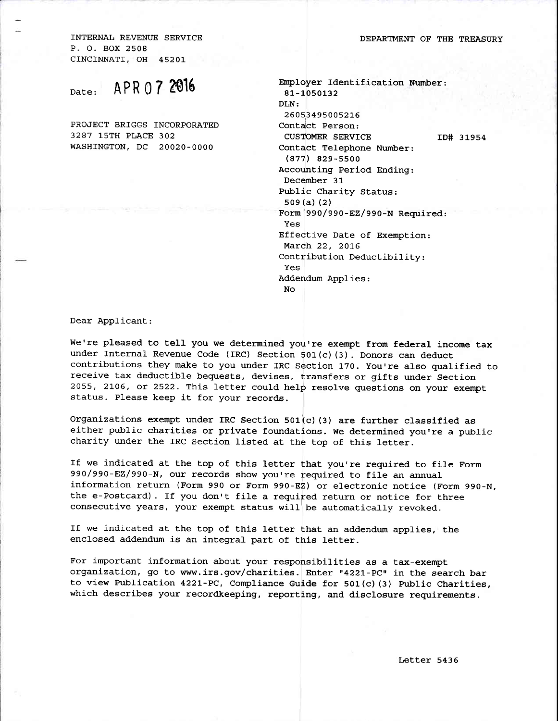INTERNAIJ REVENUE SERVICE P. O. BOX 2508 CINCINNATI, OH 452OL

Date: APR 07 2016

PROJECT BRIGGS INCORPORATED 3287 15TH PLACE 302 WASHINGTON, DC 2OO2O-OOOO

| Employer Identification Number:      |
|--------------------------------------|
| 81-1050132                           |
| DLN:                                 |
| 26053495005216                       |
| Contact Person:                      |
| <b>CUSTOMER SERVICE</b><br>ID# 31954 |
| Contact Telephone Number:            |
| $(877)$ 829-5500                     |
| Accounting Period Ending:            |
| December 31                          |
| Public Charity Status:               |
| 509(a)(2)                            |
| Form 990/990-EZ/990-N Required:      |
| Yes                                  |
| Effective Date of Exemption:         |
| March 22, 2016                       |
| Contribution Deductibility:          |
| Yes                                  |
| Addendum Applies:                    |
| No                                   |
|                                      |

Dear Applicant:

we're pleased to tell you we determined you're exempt from federal income tax under Internal Revenue Code (IRC) Section 501(c) (3). Donors can deduct contributions they make to you under IRC Section 170. You're also gualified to receive tax deductible bequests, devises, transfers or gifts under Section 2055, 2106, ot 2522. This letter could hetp resolve guestions on your exempt status. P1ease keep it for your records.

Organizations exempt under IRC Section 501(c) (3) are further classified as either public charities or private foundations. We determined you're a public charity under the IRC Section listed at the top of this letter.

If we indicated at the top of this letter that you're required to file Form 990/990-EZ/990-N, our records show you're required to file an annual information return (Form 990 or Form 990-EZ) or electronic notice (Form 990-N, the e-Postcard). If you don't file a required return or notice for three consecutive years, your exempt status will be automatically revoked.

If we indicated at the top of this letter that an addendum applies, the enclosed addendum is an integral part of this letter.

For important information about your responsibilities as a tax-exempt organization, go to www.irs.gov/charities. Enter "4221-PC" in the search bar to view Publication 4221-PC, Compliance Guide for  $501(c)$  (3) Public Charities, which describes your recordkeeping, reporting, and disclosure requirements.